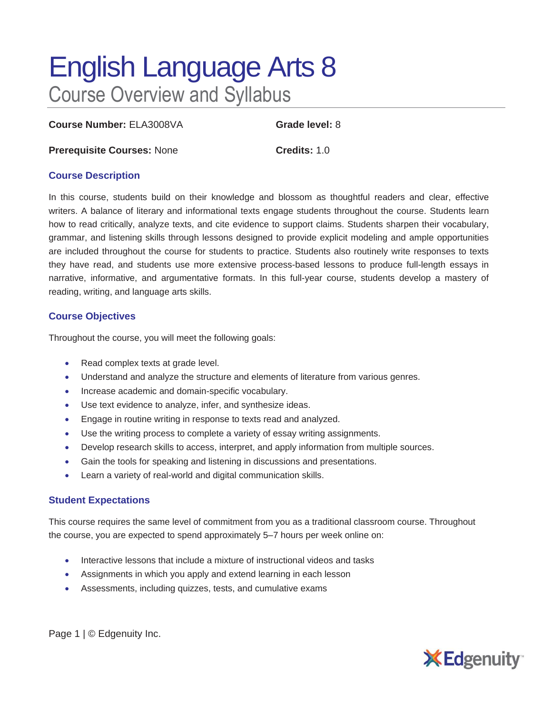# English Language Arts 8 Course Overview and Syllabus

**Course Number:** ELA3008VA **Grade level:** 8

**Prerequisite Courses:** None **Credits:** 1.0

#### **Course Description**

In this course, students build on their knowledge and blossom as thoughtful readers and clear, effective writers. A balance of literary and informational texts engage students throughout the course. Students learn how to read critically, analyze texts, and cite evidence to support claims. Students sharpen their vocabulary, grammar, and listening skills through lessons designed to provide explicit modeling and ample opportunities are included throughout the course for students to practice. Students also routinely write responses to texts they have read, and students use more extensive process-based lessons to produce full-length essays in narrative, informative, and argumentative formats. In this full-year course, students develop a mastery of reading, writing, and language arts skills.

### **Course Objectives**

Throughout the course, you will meet the following goals:

- Read complex texts at grade level.
- Understand and analyze the structure and elements of literature from various genres.
- Increase academic and domain-specific vocabulary.
- Use text evidence to analyze, infer, and synthesize ideas.
- Engage in routine writing in response to texts read and analyzed.
- Use the writing process to complete a variety of essay writing assignments.
- Develop research skills to access, interpret, and apply information from multiple sources.
- Gain the tools for speaking and listening in discussions and presentations.
- Learn a variety of real-world and digital communication skills.

## **Student Expectations**

This course requires the same level of commitment from you as a traditional classroom course. Throughout the course, you are expected to spend approximately 5–7 hours per week online on:

- Interactive lessons that include a mixture of instructional videos and tasks
- Assignments in which you apply and extend learning in each lesson
- Assessments, including quizzes, tests, and cumulative exams

Page 1 | © Edgenuity Inc.